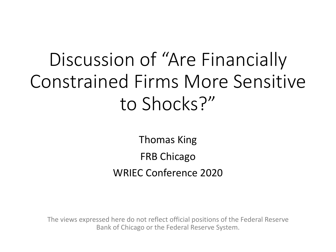# Discussion of "Are Financially Constrained Firms More Sensitive to Shocks?"

Thomas King FRB Chicago WRIEC Conference 2020

The views expressed here do not reflect official positions of the Federal Reserve Bank of Chicago or the Federal Reserve System.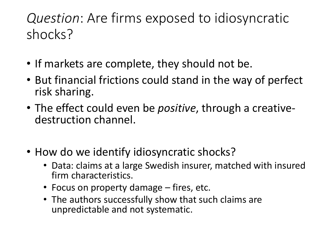#### *Question*: Are firms exposed to idiosyncratic shocks?

- If markets are complete, they should not be.
- But financial frictions could stand in the way of perfect risk sharing.
- The effect could even be *positive*, through a creative- destruction channel.
- How do we identify idiosyncratic shocks?
	- Data: claims at a large Swedish insurer, matched with insured firm characteristics.
	- Focus on property damage fires, etc.
	- The authors successfully show that such claims are unpredictable and not systematic.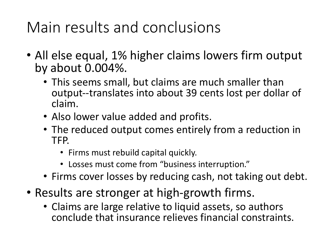## Main results and conclusions

- All else equal, 1% higher claims lowers firm output by about 0.004%.
	- This seems small, but claims are much smaller than output--translates into about 39 cents lost per dollar of claim.
	- Also lower value added and profits.
	- The reduced output comes entirely from a reduction in TFP.
		- Firms must rebuild capital quickly.
		- Losses must come from "business interruption."
	- Firms cover losses by reducing cash, not taking out debt.
- Results are stronger at high-growth firms.
	- Claims are large relative to liquid assets, so authors conclude that insurance relieves financial constraints.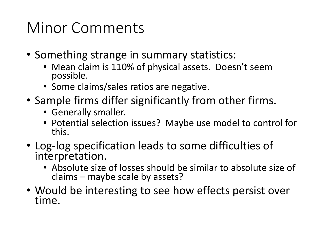### Minor Comments

- Something strange in summary statistics:
	- Mean claim is 110% of physical assets. Doesn't seem possible.
	- Some claims/sales ratios are negative.
- Sample firms differ significantly from other firms.
	- Generally smaller.
	- Potential selection issues? Maybe use model to control for this.
- Log-log specification leads to some difficulties of interpretation.
	- Absolute size of losses should be similar to absolute size of claims – maybe scale by assets?
- Would be interesting to see how effects persist over time.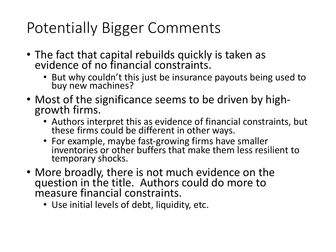## Potentially Bigger Comments

- The fact that capital rebuilds quickly is taken as evidence of no financial constraints.
	- But why couldn't this just be insurance payouts being used to buy new machines?
- Most of the significance seems to be driven by high- growth firms.
	- Authors interpret this as evidence of financial constraints, but these firms could be different in other ways.
	- For example, maybe fast-growing firms have smaller inventories or other buffers that make them less resilient to temporary shocks.
- More broadly, there is not much evidence on the question in the title. Authors could do more to measure financial constraints.
	- Use initial levels of debt, liquidity, etc.